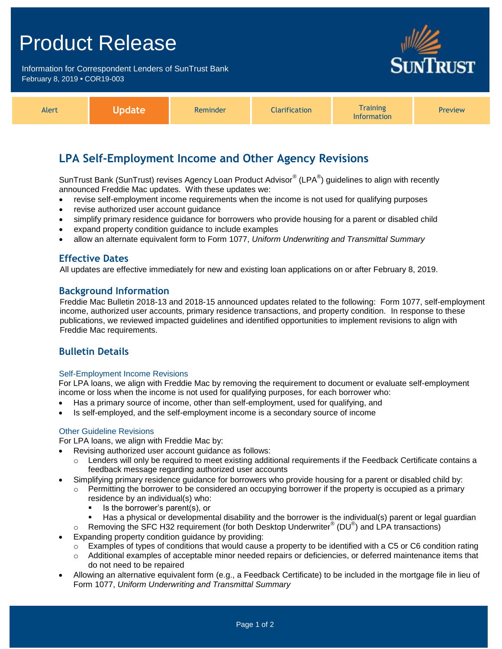## Product Release

Information for Correspondent Lenders of SunTrust Bank February 8, 2019 **•** COR19-003



| <b>Alert</b> | Reminder<br> | <b>Iarification</b><br>$-1$ | Training<br><b>Information</b> | Preview |
|--------------|--------------|-----------------------------|--------------------------------|---------|
|--------------|--------------|-----------------------------|--------------------------------|---------|

## **LPA Self-Employment Income and Other Agency Revisions**

SunTrust Bank (SunTrust) revises Agency Loan Product Advisor $^{\circledast}$  (LPA $^{\circledast}$ ) guidelines to align with recently announced Freddie Mac updates. With these updates we:

- revise self-employment income requirements when the income is not used for qualifying purposes
- revise authorized user account guidance
- simplify primary residence guidance for borrowers who provide housing for a parent or disabled child
- expand property condition guidance to include examples
- allow an alternate equivalent form to Form 1077, *Uniform Underwriting and Transmittal Summary*

#### **Effective Dates**

All updates are effective immediately for new and existing loan applications on or after February 8, 2019.

#### **Background Information**

Freddie Mac Bulletin 2018-13 and 2018-15 announced updates related to the following: Form 1077, self-employment income, authorized user accounts, primary residence transactions, and property condition. In response to these publications, we reviewed impacted guidelines and identified opportunities to implement revisions to align with Freddie Mac requirements.

## **Bulletin Details**

#### Self-Employment Income Revisions

For LPA loans, we align with Freddie Mac by removing the requirement to document or evaluate self-employment income or loss when the income is not used for qualifying purposes, for each borrower who:

- Has a primary source of income, other than self-employment, used for qualifying, and
- Is self-employed, and the self-employment income is a secondary source of income

#### Other Guideline Revisions

For LPA loans, we align with Freddie Mac by:

- Revising authorized user account guidance as follows:
	- $\circ$  Lenders will only be required to meet existing additional requirements if the Feedback Certificate contains a feedback message regarding authorized user accounts
- Simplifying primary residence guidance for borrowers who provide housing for a parent or disabled child by:
	- $\circ$  Permitting the borrower to be considered an occupying borrower if the property is occupied as a primary residence by an individual(s) who:
		- $\blacksquare$  Is the borrower's parent(s), or
		- Has a physical or developmental disability and the borrower is the individual(s) parent or legal guardian
	- $\circ$  Removing the SFC H32 requirement (for both Desktop Underwriter® (DU®) and LPA transactions)
- Expanding property condition guidance by providing:
	- $\circ$  Examples of types of conditions that would cause a property to be identified with a C5 or C6 condition rating
	- o Additional examples of acceptable minor needed repairs or deficiencies, or deferred maintenance items that do not need to be repaired
- Allowing an alternative equivalent form (e.g., a Feedback Certificate) to be included in the mortgage file in lieu of Form 1077, *Uniform Underwriting and Transmittal Summary*